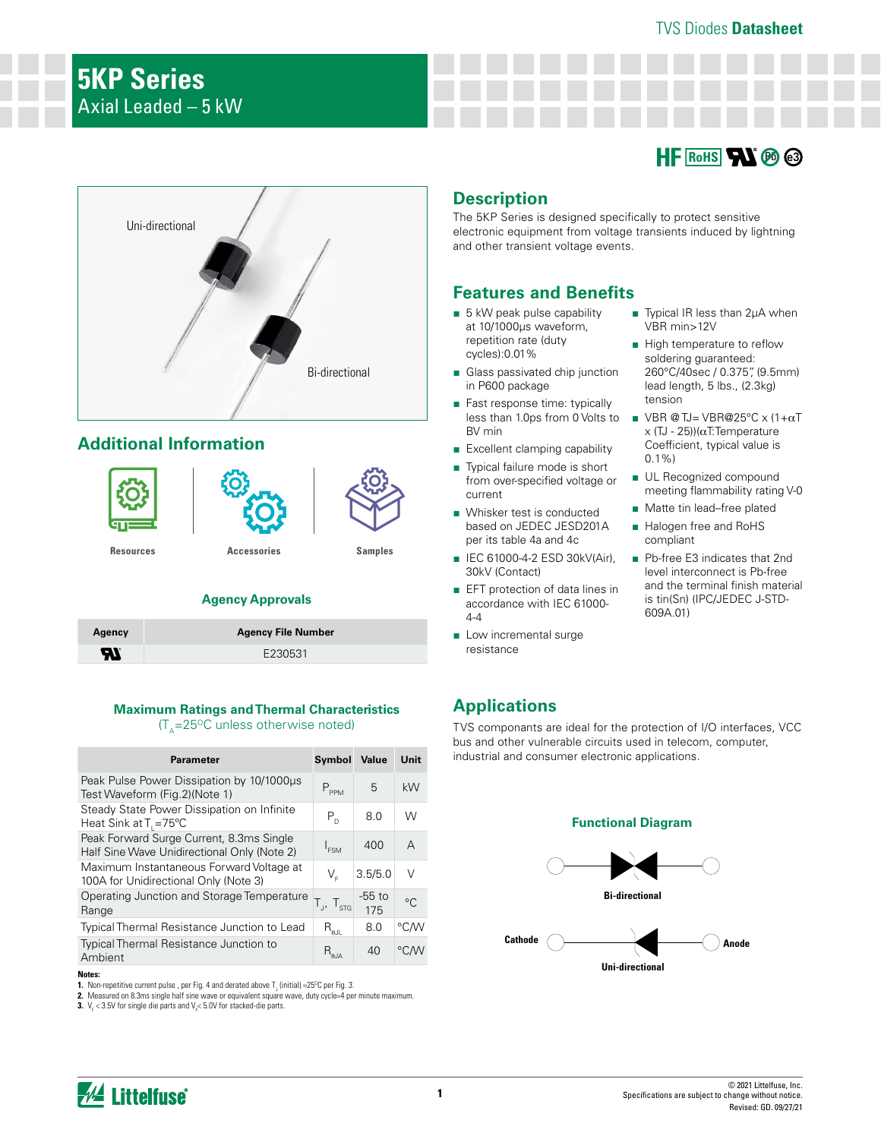



## **Additional Information**



## **Agency Approvals**

| Agency   | <b>Agency File Number</b> |
|----------|---------------------------|
| <b>R</b> | E230531                   |

#### **Maximum Ratings and Thermal Characteristics**   $(T_{\text{A}}=25^{\circ}C$  unless otherwise noted)

| <b>Parameter</b>                                                                        | Symbol                                           | Value         | Unit    |
|-----------------------------------------------------------------------------------------|--------------------------------------------------|---------------|---------|
| Peak Pulse Power Dissipation by 10/1000us<br>Test Waveform (Fig.2)(Note 1)              | $P_{PPM}$                                        | 5             | kW      |
| Steady State Power Dissipation on Infinite<br>Heat Sink at $T_1 = 75^{\circ}C$          | $P_{D}$                                          | 8.0           | W       |
| Peak Forward Surge Current, 8.3ms Single<br>Half Sine Wave Unidirectional Only (Note 2) | $I_{FSM}$                                        | 400           | A       |
| Maximum Instantaneous Forward Voltage at<br>100A for Unidirectional Only (Note 3)       | V,                                               | 3.5/5.0       | $\vee$  |
| Operating Junction and Storage Temperature<br>Range                                     | $T_{J'} T_{STG}$                                 | -55 to<br>175 | $\circ$ |
| Typical Thermal Resistance Junction to Lead                                             | $\mathsf{R}_{_{\boldsymbol{\theta}\mathsf{JL}}}$ | 8.0           | °C∕W    |
| <b>Typical Thermal Resistance Junction to</b><br>Ambient                                | $R_{\theta JA}$                                  | 40            | °CM     |

#### **Notes:**

**1.** Non-repetitive current pulse , per Fig. 4 and derated above  $\mathsf{T}_\mathsf{J}$  (initial) =25°C per Fig. 3.

**2.** Measured on 8.3ms single half sine wave or equivalent square wave, duty cycle=4 per minute maximum.

**3.**  $V_F$  < 3.5V for single die parts and  $V_F$  < 5.0V for stacked-die parts.

# **Description**

The 5KP Series is designed specifically to protect sensitive electronic equipment from voltage transients induced by lightning and other transient voltage events.

## **Features and Benefits**

- 5 kW peak pulse capability at 10/1000μs waveform, repetition rate (duty cycles):0.01%
- Glass passivated chip junction in P600 package
- Fast response time: typically less than 1.0ps from 0 Volts to BV min
- Excellent clamping capability
- Typical failure mode is short from over-specified voltage or current
- Whisker test is conducted based on JEDEC JESD201A per its table 4a and 4c
- IEC 61000-4-2 ESD 30kV(Air), 30kV (Contact)
- EFT protection of data lines in accordance with IEC 61000-  $4-4$
- Low incremental surge resistance
- Typical IR less than 2μA when VBR min>12V
- High temperature to reflow soldering guaranteed: 260°C/40sec / 0.375", (9.5mm) lead length, 5 lbs., (2.3kg) tension
- $\blacksquare$  VBR @ TJ= VBR@25°C x (1+ $\alpha$ T x (TJ - 25))( $\alpha$ T:Temperature Coefficient, typical value is 0.1%)
- UL Recognized compound meeting flammability rating V-0
- Matte tin lead–free plated
- Halogen free and RoHS compliant
- Pb-free E3 indicates that 2nd level interconnect is Pb-free and the terminal finish material is tin(Sn) (IPC/JEDEC J-STD-609A.01)

## **Applications**

TVS componants are ideal for the protection of I/O interfaces, VCC bus and other vulnerable circuits used in telecom, computer, industrial and consumer electronic applications.

#### **Functional Diagram**

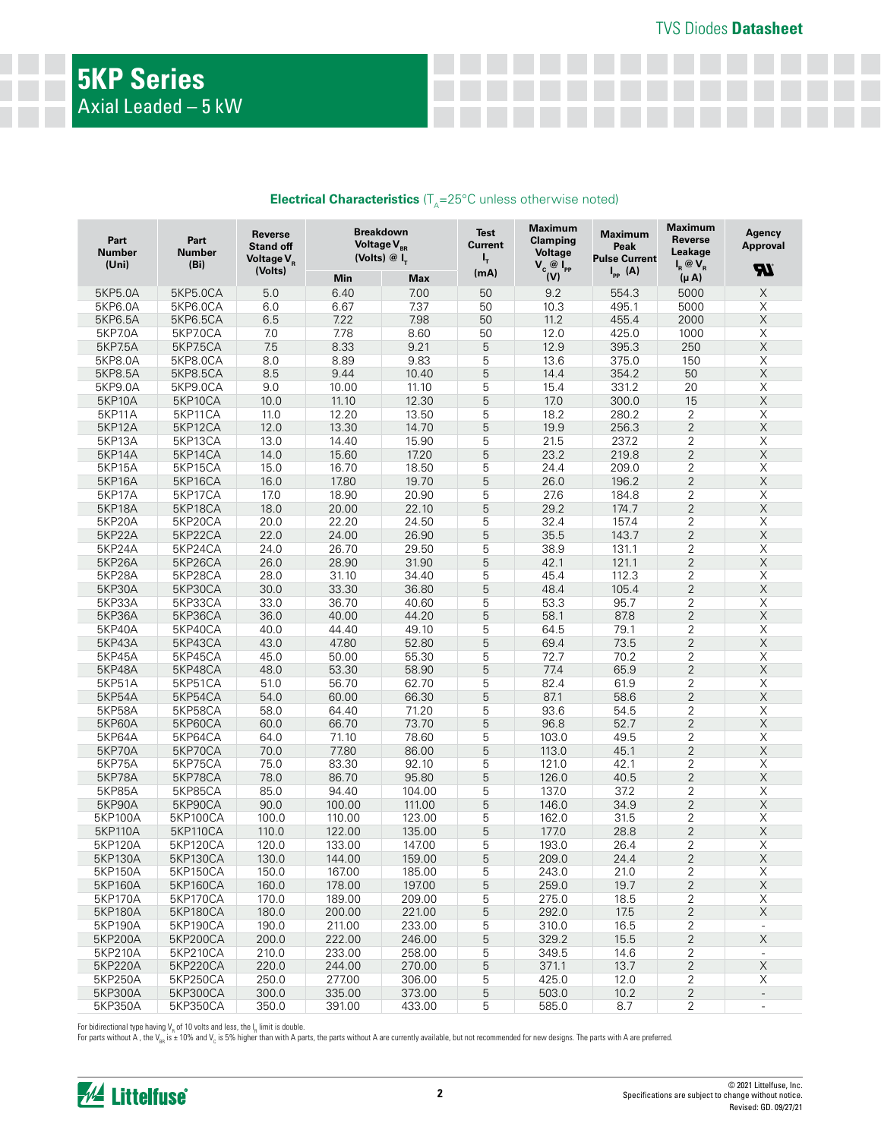| <b>Electrical Characteristics</b> ( $T_a = 25^{\circ}$ C unless otherwise noted) |  |
|----------------------------------------------------------------------------------|--|
|----------------------------------------------------------------------------------|--|

| $V_c$ @ $I_{PP}$<br>(Volts)<br>$I_{PP}$ (A)<br>(mA)<br>(V)<br>$(\mu A)$<br>Min<br>Max<br>5.0<br>9.2<br>554.3<br>5000<br>5KP5.0A<br>5KP5.0CA<br>6.40<br>7.00<br>50<br>6.67<br>7.37<br>495.1<br>5KP6.0A<br>5KP6.0CA<br>6.0<br>50<br>10.3<br>5000<br>6.5<br>7.22<br>7.98<br>50<br>11.2<br>455.4<br>2000<br>5KP6.5A<br>5KP6.5CA<br>7.0<br>7.78<br>8.60<br>12.0<br>425.0<br>5KP7.0A<br>5KP7.0CA<br>50<br>1000<br>7.5<br>8.33<br>9.21<br>5<br>12.9<br>395.3<br>250<br><b>5KP7.5A</b><br><b>5KP7.5CA</b><br>8.0<br>8.89<br>9.83<br>5<br>375.0<br>5KP8.0A<br>5KP8.0CA<br>13.6<br>150<br>8.5<br>5<br>9.44<br>50<br>5KP8.5A<br><b>5KP8.5CA</b><br>10.40<br>14.4<br>354.2 | <b>R</b><br>$\mathsf X$<br>X<br>$\mathsf X$<br>$\mathsf X$<br>$\mathsf X$<br>$\mathsf X$<br>$\mathsf X$<br>$\overline{\mathsf{X}}$<br>$\mathsf X$<br>$\overline{\mathsf{X}}$<br>X<br>$\mathsf X$<br>$\mathsf X$<br>$\mathsf X$ |
|----------------------------------------------------------------------------------------------------------------------------------------------------------------------------------------------------------------------------------------------------------------------------------------------------------------------------------------------------------------------------------------------------------------------------------------------------------------------------------------------------------------------------------------------------------------------------------------------------------------------------------------------------------------|--------------------------------------------------------------------------------------------------------------------------------------------------------------------------------------------------------------------------------|
|                                                                                                                                                                                                                                                                                                                                                                                                                                                                                                                                                                                                                                                                |                                                                                                                                                                                                                                |
|                                                                                                                                                                                                                                                                                                                                                                                                                                                                                                                                                                                                                                                                |                                                                                                                                                                                                                                |
|                                                                                                                                                                                                                                                                                                                                                                                                                                                                                                                                                                                                                                                                |                                                                                                                                                                                                                                |
|                                                                                                                                                                                                                                                                                                                                                                                                                                                                                                                                                                                                                                                                |                                                                                                                                                                                                                                |
|                                                                                                                                                                                                                                                                                                                                                                                                                                                                                                                                                                                                                                                                |                                                                                                                                                                                                                                |
|                                                                                                                                                                                                                                                                                                                                                                                                                                                                                                                                                                                                                                                                |                                                                                                                                                                                                                                |
|                                                                                                                                                                                                                                                                                                                                                                                                                                                                                                                                                                                                                                                                |                                                                                                                                                                                                                                |
|                                                                                                                                                                                                                                                                                                                                                                                                                                                                                                                                                                                                                                                                |                                                                                                                                                                                                                                |
| 5<br>9.0<br>5KP9.0A<br>5KP9.0CA<br>10.00<br>11.10<br>15.4<br>331.2<br>20                                                                                                                                                                                                                                                                                                                                                                                                                                                                                                                                                                                       |                                                                                                                                                                                                                                |
| 5<br><b>5KP10A</b><br>5KP10CA<br>10.0<br>11.10<br>12.30<br>17.0<br>300.0<br>15                                                                                                                                                                                                                                                                                                                                                                                                                                                                                                                                                                                 |                                                                                                                                                                                                                                |
| 11.0<br>12.20<br>5<br>18.2<br>2<br><b>5KP11A</b><br>5KP11CA<br>13.50<br>280.2                                                                                                                                                                                                                                                                                                                                                                                                                                                                                                                                                                                  |                                                                                                                                                                                                                                |
| 5<br>$\sqrt{2}$<br>5KP12CA<br>12.0<br>13.30<br>14.70<br>19.9<br>256.3<br><b>5KP12A</b>                                                                                                                                                                                                                                                                                                                                                                                                                                                                                                                                                                         |                                                                                                                                                                                                                                |
| 5<br>$\overline{2}$<br>13.0<br><b>5KP13A</b><br>5KP13CA<br>14.40<br>15.90<br>21.5<br>237.2                                                                                                                                                                                                                                                                                                                                                                                                                                                                                                                                                                     |                                                                                                                                                                                                                                |
| $\overline{2}$<br>5<br><b>5KP14A</b><br>5KP14CA<br>14.0<br>15.60<br>17.20<br>23.2<br>219.8                                                                                                                                                                                                                                                                                                                                                                                                                                                                                                                                                                     |                                                                                                                                                                                                                                |
| $\overline{2}$<br>15.0<br>18.50<br>5<br><b>5KP15A</b><br>5KP15CA<br>16.70<br>24.4<br>209.0                                                                                                                                                                                                                                                                                                                                                                                                                                                                                                                                                                     |                                                                                                                                                                                                                                |
| 5<br>$\overline{2}$<br>5KP16CA<br>16.0<br>17.80<br>19.70<br>26.0<br>196.2<br><b>5KP16A</b>                                                                                                                                                                                                                                                                                                                                                                                                                                                                                                                                                                     | X                                                                                                                                                                                                                              |
| $\overline{2}$<br>5<br><b>5KP17A</b><br>5KP17CA<br>17.0<br>18.90<br>20.90<br>27.6<br>184.8                                                                                                                                                                                                                                                                                                                                                                                                                                                                                                                                                                     | $\mathsf X$                                                                                                                                                                                                                    |
| 5<br>$\overline{2}$<br>29.2<br><b>5KP18A</b><br>5KP18CA<br>18.0<br>20.00<br>22.10<br>174.7                                                                                                                                                                                                                                                                                                                                                                                                                                                                                                                                                                     | $\mathsf X$                                                                                                                                                                                                                    |
| 5<br>$\overline{2}$<br>20.0<br>32.4<br><b>5KP20A</b><br>5KP20CA<br>22.20<br>24.50<br>157.4                                                                                                                                                                                                                                                                                                                                                                                                                                                                                                                                                                     | $\mathsf X$                                                                                                                                                                                                                    |
| 5<br>$\overline{2}$<br><b>5KP22A</b><br>5KP22CA<br>22.0<br>24.00<br>35.5<br>143.7<br>26.90                                                                                                                                                                                                                                                                                                                                                                                                                                                                                                                                                                     | $\mathsf X$                                                                                                                                                                                                                    |
| $\overline{2}$<br>24.0<br>5<br><b>5KP24A</b><br>5KP24CA<br>26.70<br>29.50<br>38.9<br>131.1                                                                                                                                                                                                                                                                                                                                                                                                                                                                                                                                                                     | $\mathsf X$                                                                                                                                                                                                                    |
| 5<br>$\overline{2}$<br>42.1<br><b>5KP26A</b><br>5KP26CA<br>26.0<br>28.90<br>31.90<br>121.1                                                                                                                                                                                                                                                                                                                                                                                                                                                                                                                                                                     | $\mathsf X$                                                                                                                                                                                                                    |
| $\overline{2}$<br>28.0<br>5<br>112.3<br><b>5KP28A</b><br>5KP28CA<br>31.10<br>34.40<br>45.4                                                                                                                                                                                                                                                                                                                                                                                                                                                                                                                                                                     | $\mathsf X$                                                                                                                                                                                                                    |
| $\overline{2}$<br><b>5KP30A</b><br>30.0<br>5<br>5KP30CA<br>33.30<br>36.80<br>48.4<br>105.4                                                                                                                                                                                                                                                                                                                                                                                                                                                                                                                                                                     | $\mathsf X$                                                                                                                                                                                                                    |
| $\overline{2}$<br><b>5KP33A</b><br>5KP33CA<br>33.0<br>36.70<br>5<br>53.3<br>95.7<br>40.60                                                                                                                                                                                                                                                                                                                                                                                                                                                                                                                                                                      | $\mathsf X$                                                                                                                                                                                                                    |
| 5<br>$\overline{2}$<br><b>5KP36A</b><br>58.1<br>5KP36CA<br>36.0<br>40.00<br>44.20<br>87.8                                                                                                                                                                                                                                                                                                                                                                                                                                                                                                                                                                      | $\mathsf X$                                                                                                                                                                                                                    |
| 5<br>$\overline{2}$<br>5KP40A<br>5KP40CA<br>40.0<br>44.40<br>49.10<br>64.5<br>79.1                                                                                                                                                                                                                                                                                                                                                                                                                                                                                                                                                                             | $\mathsf X$                                                                                                                                                                                                                    |
| 5<br>$\overline{2}$<br><b>5KP43A</b><br>5KP43CA<br>43.0<br>47.80<br>52.80<br>69.4<br>73.5                                                                                                                                                                                                                                                                                                                                                                                                                                                                                                                                                                      | $\mathsf X$                                                                                                                                                                                                                    |
| 5<br>$\overline{2}$<br>5KP45CA<br>45.0<br>55.30<br>72.7<br><b>5KP45A</b><br>50.00<br>70.2                                                                                                                                                                                                                                                                                                                                                                                                                                                                                                                                                                      | $\mathsf X$                                                                                                                                                                                                                    |
| $\overline{2}$<br>53.30<br>5<br>77.4<br>65.9<br><b>5KP48A</b><br>5KP48CA<br>48.0<br>58.90                                                                                                                                                                                                                                                                                                                                                                                                                                                                                                                                                                      | $\mathsf X$                                                                                                                                                                                                                    |
| $\overline{2}$<br>5<br><b>5KP51A</b><br>5KP51CA<br>51.0<br>56.70<br>62.70<br>82.4<br>61.9                                                                                                                                                                                                                                                                                                                                                                                                                                                                                                                                                                      | $\overline{\mathsf{X}}$                                                                                                                                                                                                        |
| $\overline{2}$<br>5<br>87.1<br>58.6<br><b>5KP54A</b><br>5KP54CA<br>54.0<br>60.00<br>66.30                                                                                                                                                                                                                                                                                                                                                                                                                                                                                                                                                                      | X                                                                                                                                                                                                                              |
| 5<br>$\overline{2}$<br>58.0<br>71.20<br><b>5KP58A</b><br>5KP58CA<br>64.40<br>93.6<br>54.5                                                                                                                                                                                                                                                                                                                                                                                                                                                                                                                                                                      | $\mathsf X$                                                                                                                                                                                                                    |
| 5<br>$\overline{2}$<br>96.8<br>52.7<br><b>5KP60A</b><br>5KP60CA<br>60.0<br>66.70<br>73.70                                                                                                                                                                                                                                                                                                                                                                                                                                                                                                                                                                      | $\mathsf X$                                                                                                                                                                                                                    |
| 5<br>2<br><b>5KP64A</b><br>5KP64CA<br>64.0<br>71.10<br>78.60<br>103.0<br>49.5                                                                                                                                                                                                                                                                                                                                                                                                                                                                                                                                                                                  | $\overline{\mathsf{X}}$                                                                                                                                                                                                        |
| $\overline{2}$<br>5<br><b>5KP70A</b><br>5KP70CA<br>70.0<br>77.80<br>86.00<br>113.0<br>45.1                                                                                                                                                                                                                                                                                                                                                                                                                                                                                                                                                                     | $\mathsf X$                                                                                                                                                                                                                    |
| 5<br>$\overline{2}$<br>75.0<br>83.30<br><b>5KP75A</b><br>5KP75CA<br>92.10<br>121.0<br>42.1                                                                                                                                                                                                                                                                                                                                                                                                                                                                                                                                                                     | $\mathsf X$                                                                                                                                                                                                                    |
| 5<br>$\overline{2}$<br>78.0<br>86.70<br>40.5<br><b>5KP78A</b><br>5KP78CA<br>95.80<br>126.0                                                                                                                                                                                                                                                                                                                                                                                                                                                                                                                                                                     | $\mathsf X$                                                                                                                                                                                                                    |
| $\overline{2}$<br>85.0<br>5<br>37.2<br><b>5KP85A</b><br><b>5KP85CA</b><br>94.40<br>104.00<br>137.0                                                                                                                                                                                                                                                                                                                                                                                                                                                                                                                                                             | $\mathsf X$                                                                                                                                                                                                                    |
| 5<br>$\overline{2}$<br>90.0<br><b>5KP90A</b><br>5KP90CA<br>100.00<br>111.00<br>146.0<br>34.9                                                                                                                                                                                                                                                                                                                                                                                                                                                                                                                                                                   | $\mathsf X$                                                                                                                                                                                                                    |
| 5<br>2<br>5KP100A<br>5KP100CA<br>100.0<br>31.5<br>110.00<br>123.00<br>162.0                                                                                                                                                                                                                                                                                                                                                                                                                                                                                                                                                                                    | $\mathsf X$                                                                                                                                                                                                                    |
| 5<br>$\overline{2}$<br>110.0<br>28.8<br>5KP110A<br>5KP110CA<br>122.00<br>135.00<br>177.0                                                                                                                                                                                                                                                                                                                                                                                                                                                                                                                                                                       | $\mathsf X$                                                                                                                                                                                                                    |
| 5<br>2<br>5KP120A<br><b>5KP120CA</b><br>120.0<br>133.00<br>147.00<br>193.0<br>26.4                                                                                                                                                                                                                                                                                                                                                                                                                                                                                                                                                                             | $\overline{\mathsf{X}}$                                                                                                                                                                                                        |
| 5<br>$\overline{2}$<br>130.0<br>209.0<br>5KP130A<br>5KP130CA<br>144.00<br>159.00<br>24.4                                                                                                                                                                                                                                                                                                                                                                                                                                                                                                                                                                       | Χ                                                                                                                                                                                                                              |
| 5<br>$\overline{\mathbf{c}}$<br>5KP150A<br>5KP150CA<br>150.0<br>167.00<br>185.00<br>243.0<br>21.0                                                                                                                                                                                                                                                                                                                                                                                                                                                                                                                                                              | X                                                                                                                                                                                                                              |
| $\overline{c}$<br>5KP160A<br>5KP160CA<br>160.0<br>178.00<br>197.00<br>5<br>259.0<br>19.7                                                                                                                                                                                                                                                                                                                                                                                                                                                                                                                                                                       | X                                                                                                                                                                                                                              |
| 170.0<br>5KP170A<br>5KP170CA<br>189.00<br>209.00<br>5<br>275.0<br>18.5<br>2                                                                                                                                                                                                                                                                                                                                                                                                                                                                                                                                                                                    | X                                                                                                                                                                                                                              |
| $\overline{c}$<br>5KP180A<br><b>5KP180CA</b><br>180.0<br>200.00<br>221.00<br>5<br>292.0<br>17.5                                                                                                                                                                                                                                                                                                                                                                                                                                                                                                                                                                | X                                                                                                                                                                                                                              |
| 2<br>5KP190A<br>5KP190CA<br>190.0<br>211.00<br>233.00<br>5<br>310.0<br>16.5                                                                                                                                                                                                                                                                                                                                                                                                                                                                                                                                                                                    | $\overline{\phantom{a}}$                                                                                                                                                                                                       |
| $\overline{c}$<br>5<br>5KP200A<br>5KP200CA<br>200.0<br>222.00<br>246.00<br>329.2<br>15.5                                                                                                                                                                                                                                                                                                                                                                                                                                                                                                                                                                       | $\mathsf X$                                                                                                                                                                                                                    |
| 5KP210A<br>5<br>2<br>5KP210CA<br>210.0<br>233.00<br>258.00<br>349.5<br>14.6                                                                                                                                                                                                                                                                                                                                                                                                                                                                                                                                                                                    |                                                                                                                                                                                                                                |
| $\overline{c}$<br>5<br>5KP220A<br>5KP220CA<br>220.0<br>244.00<br>270.00<br>371.1<br>13.7                                                                                                                                                                                                                                                                                                                                                                                                                                                                                                                                                                       | X                                                                                                                                                                                                                              |
| 2<br>5KP250A<br>5KP250CA<br>250.0<br>277.00<br>306.00<br>5<br>425.0<br>12.0                                                                                                                                                                                                                                                                                                                                                                                                                                                                                                                                                                                    | Χ                                                                                                                                                                                                                              |
| 300.0<br>5<br>$\overline{c}$<br>5KP300A<br>5KP300CA<br>335.00<br>373.00<br>503.0<br>10.2                                                                                                                                                                                                                                                                                                                                                                                                                                                                                                                                                                       | $\overline{\phantom{a}}$                                                                                                                                                                                                       |
| 2<br>5KP350A<br>5KP350CA<br>350.0<br>391.00<br>433.00<br>5<br>585.0<br>8.7                                                                                                                                                                                                                                                                                                                                                                                                                                                                                                                                                                                     | $\overline{\phantom{a}}$                                                                                                                                                                                                       |

For bidirectional type having V<sub>a</sub> of 10 volts and less, the I<sub>a</sub> limit is double.<br>For parts without A , the V<sub>iss</sub> is ± 10% and V<sub>c</sub> is 5% higher than with A parts, the parts without A are currently available, but not rec

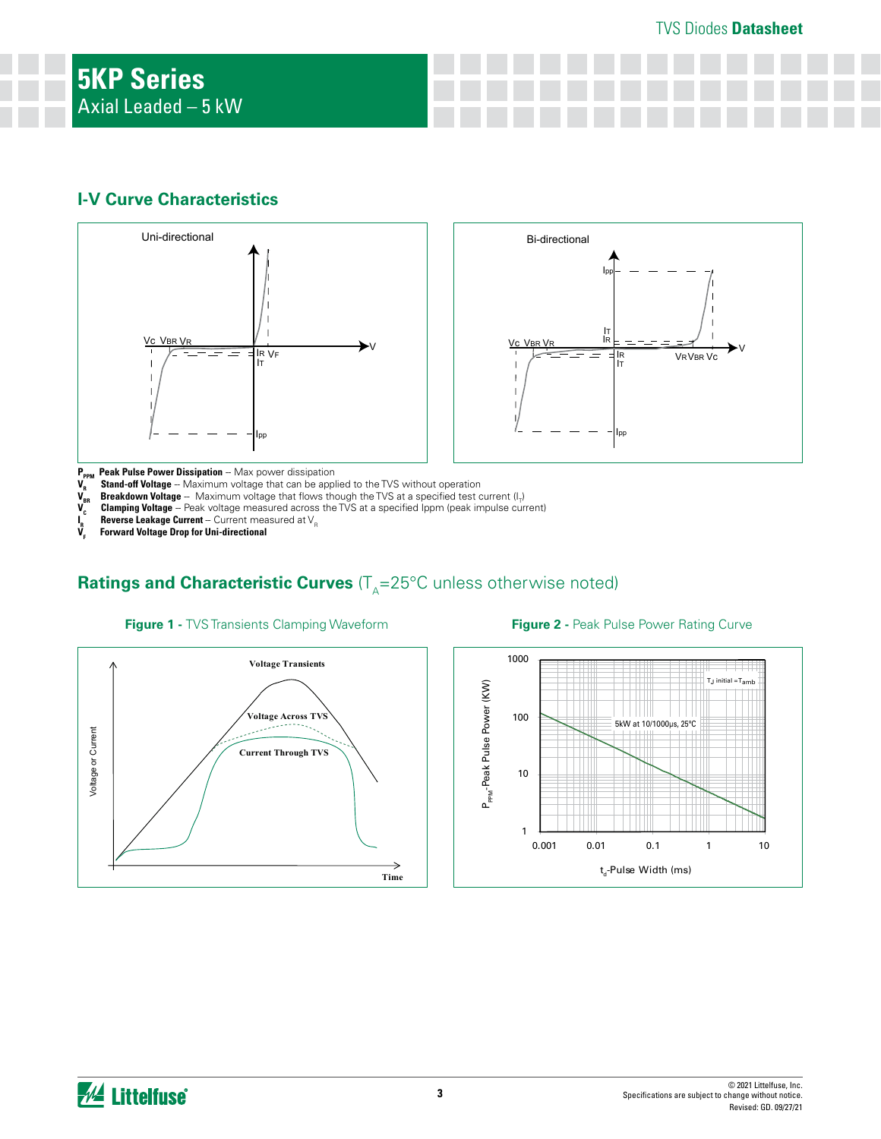## **I-V Curve Characteristics**





- 
- 
- **V<sub>R</sub>** Stand-off Voltage -- Maximum voltage that can be applied to the TVS without operation V<sub>BR</sub> Breakdown Voltage -- Maximum voltage that flows though the TVS at a specified test c<br>
V<sub>C</sub> Clamping Voltage -- Peak voltage
- **V<sub>BR</sub> Breakdown Voltage** -- Maximum voltage that flows though the TVS at a specified test current (I<sub>T</sub>) **Clamping Voltage** -- Peak voltage measured across the TVS at a specified Ippm (peak impulse current)
- **Reverse Leakage Current** -- Current measured at V<sub>R</sub>
- **I**<sub>R</sub><br>V<sub>E</sub> **VF Forward Voltage Drop for Uni-directional**

# **Ratings and Characteristic Curves** (T<sub>A</sub>=25°C unless otherwise noted)



### **Figure 2 -** Peak Pulse Power Rating Curve

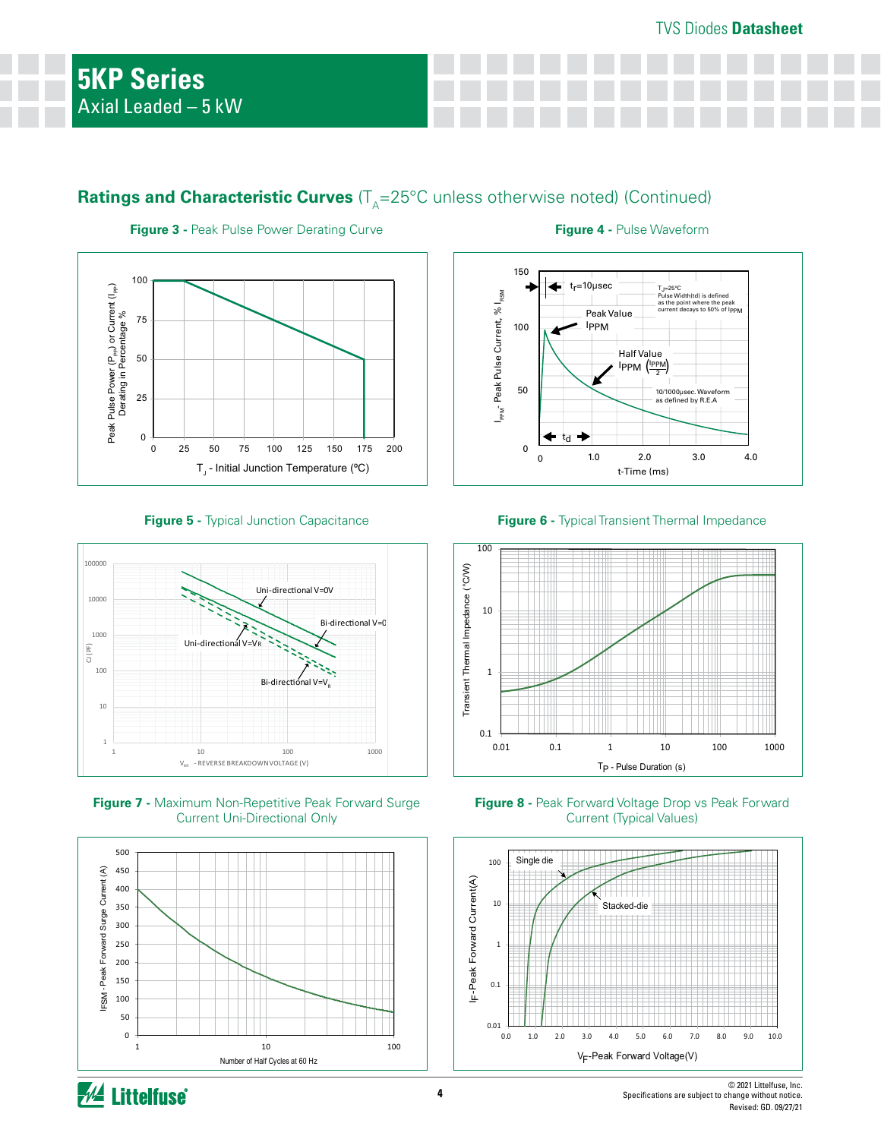# **Ratings and Characteristic Curves** (T<sub>A</sub>=25°C unless otherwise noted) (Continued)



**Figure 3 - Peak Pulse Power Derating Curve <b>Figure 4 - Pulse Waveform** 



**Figure 5 -** Typical Junction Capacitance



**Figure 7 - Maximum Non-Repetitive Peak Forward Surge** Current Uni-Directional Only



**Figure 6 -** Typical Transient Thermal Impedance



**Figure 8 -** Peak Forward Voltage Drop vs Peak Forward Current (Typical Values)



*M* Littelfuse

**4**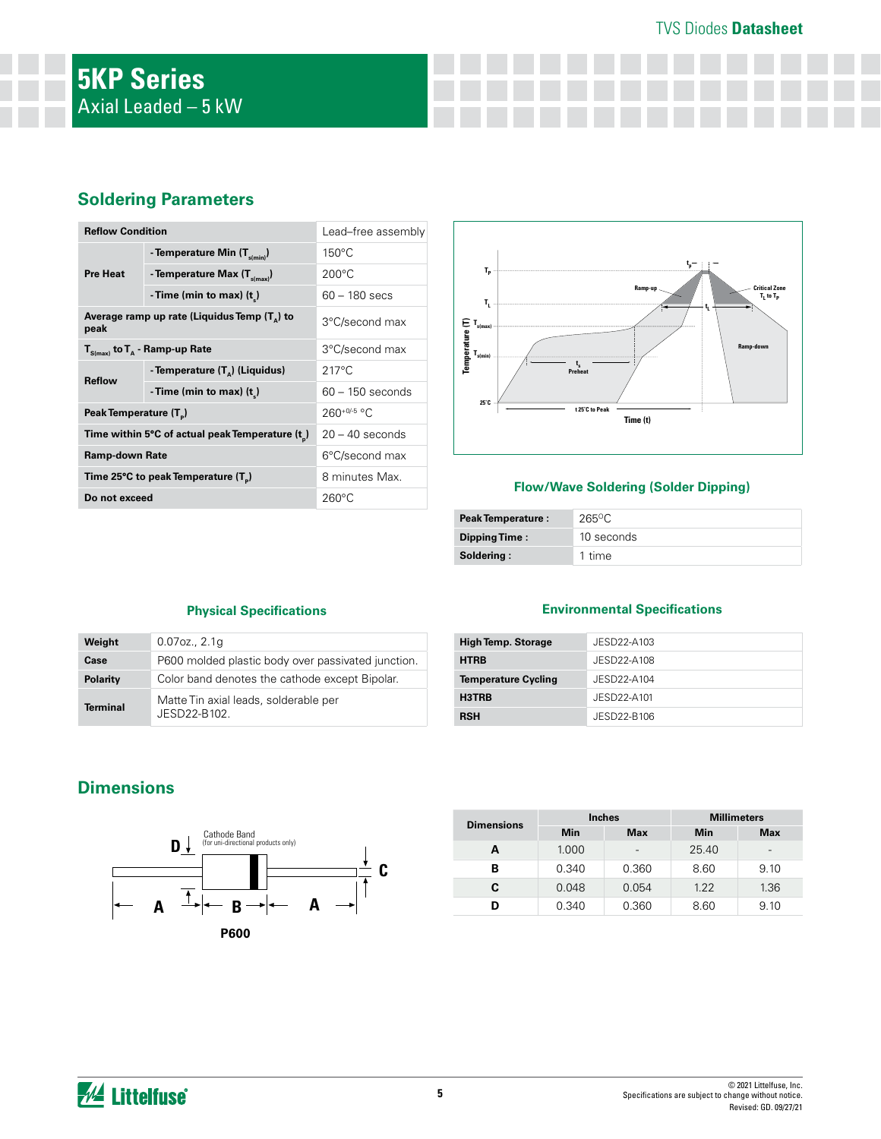## TVS Diodes **Datasheet**

## **Soldering Parameters**

| <b>Reflow Condition</b>                                       |                                            | Lead-free assembly |  |
|---------------------------------------------------------------|--------------------------------------------|--------------------|--|
| <b>Pre Heat</b>                                               | - Temperature Min (T <sub>s(min</sub> )    | $150^{\circ}$ C    |  |
|                                                               | - Temperature Max $(T_{\text{simax}})$     | $200^{\circ}$ C    |  |
|                                                               | - Time (min to max) $(t_*)$                | $60 - 180$ secs    |  |
| Average ramp up rate (Liquidus Temp $(T_{\alpha})$ to<br>peak |                                            | 3°C/second max     |  |
| $T_{S(max)}$ to $T_A$ - Ramp-up Rate                          |                                            | 3°C/second max     |  |
| <b>Reflow</b>                                                 | - Temperature (T <sub>a</sub> ) (Liquidus) | $217^{\circ}$ C    |  |
|                                                               | - Time (min to max) $(t_*)$                | $60 - 150$ seconds |  |
| Peak Temperature (T <sub>a</sub> )                            |                                            | $260^{+0/5}$ °C    |  |
| Time within 5°C of actual peak Temperature (t)                |                                            | $20 - 40$ seconds  |  |
| Ramp-down Rate                                                |                                            | 6°C/second max     |  |
| Time 25°C to peak Temperature (T <sub>p</sub> )               |                                            | 8 minutes Max.     |  |
| Do not exceed                                                 |                                            | $260^{\circ}$ C    |  |



## **Flow/Wave Soldering (Solder Dipping)**

| <b>Peak Temperature:</b> | 265°C      |
|--------------------------|------------|
| Dipping Time:            | 10 seconds |
| Soldering:               | 1 time     |

## **Physical Specifications**

| Weight          | $0.07$ oz., $2.1q$                                   |
|-----------------|------------------------------------------------------|
| Case            | P600 molded plastic body over passivated junction.   |
| <b>Polarity</b> | Color band denotes the cathode except Bipolar.       |
| <b>Terminal</b> | Matte Tin axial leads, solderable per<br>JFSD22-B102 |

## **Environmental Specifications**

| <b>High Temp. Storage</b>  | JESD22-A103 |
|----------------------------|-------------|
| <b>HTRB</b>                | JESD22-A108 |
| <b>Temperature Cycling</b> | JESD22-A104 |
| H3TRB                      | JESD22-A101 |
| <b>RSH</b>                 | JESD22-B106 |

# **Dimensions**



| <b>Dimensions</b> | <b>Inches</b> |            | <b>Millimeters</b> |                          |
|-------------------|---------------|------------|--------------------|--------------------------|
|                   | Min           | <b>Max</b> | Min                | <b>Max</b>               |
| А                 | 1.000         | -          | 25.40              | $\overline{\phantom{0}}$ |
| в                 | 0.340         | 0.360      | 8.60               | 9.10                     |
| C.                | 0.048         | 0.054      | 1.22               | 1.36                     |
|                   | 0.340         | 0.360      | 8.60               | 9.10                     |